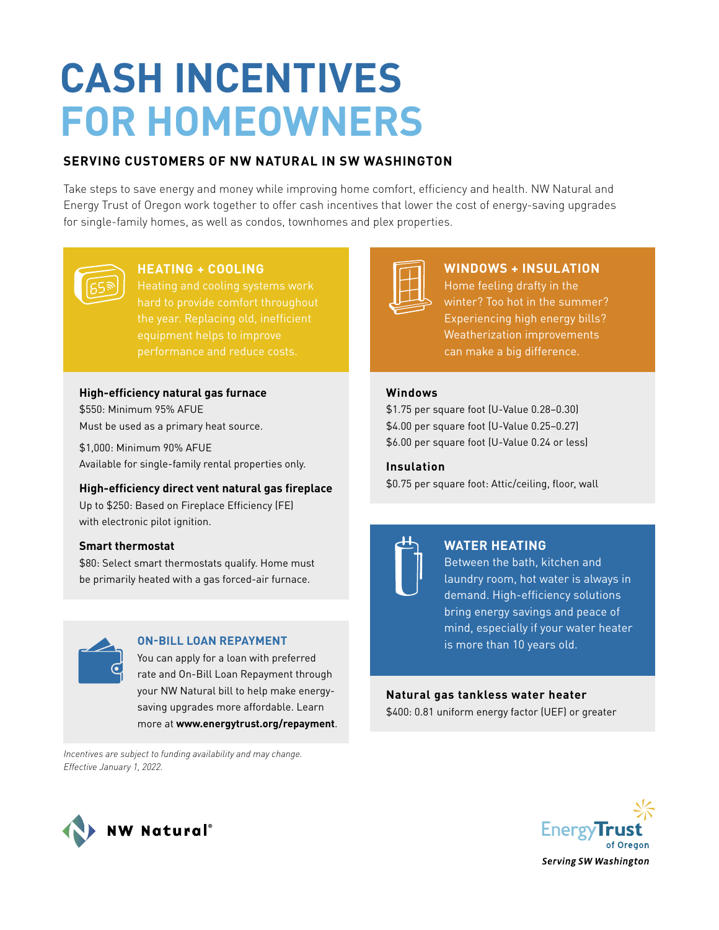# **CASH INCENTIVES FOR HOMEOWNERS**

# **SERVING CUSTOMERS OF NW NATURAL IN SW WASHINGTON**

Take steps to save energy and money while improving home comfort, efficiency and health. NW Natural and Energy Trust of Oregon work together to offer cash incentives that lower the cost of energy-saving upgrades for single-family homes, as well as condos, townhomes and plex properties.



# **HEATING + COOLING**

the year. Replacing old, inefficient performance and reduce costs.

## **High-efficiency natural gas furnace**

\$550: Minimum 95% AFUE Must be used as a primary heat source.

\$1,000: Minimum 90% AFUE Available for single-family rental properties only.

## **High-efficiency direct vent natural gas fireplace**

Up to \$250: Based on Fireplace Efficiency (FE) with electronic pilot ignition.

## **Smart thermostat**

\$80: Select smart thermostats qualify. Home must be primarily heated with a gas forced-air furnace.



## **ON-BILL LOAN REPAYMENT**

You can apply for a loan with preferred rate and On-Bill Loan Repayment through your NW Natural bill to help make energysaving upgrades more affordable. Learn more at **www.energytrust.org/repayment**.

*Incentives are subject to funding availability and may change. Effective January 1, 2022.*



# **WINDOWS + INSULATION**

Home feeling drafty in the Experiencing high energy bills? Weatherization improvements can make a big difference.

## **Windows**

\$1.75 per square foot (U-Value 0.28–0.30) \$4.00 per square foot (U-Value 0.25–0.27) \$6.00 per square foot (U-Value 0.24 or less)

**Insulation** \$0.75 per square foot: Attic/ceiling, floor, wall

# **WATER HEATING**

Between the bath, kitchen and laundry room, hot water is always in demand. High-efficiency solutions bring energy savings and peace of mind, especially if your water heater is more than 10 years old.

# **Natural gas tankless water heater**

\$400: 0.81 uniform energy factor (UEF) or greater



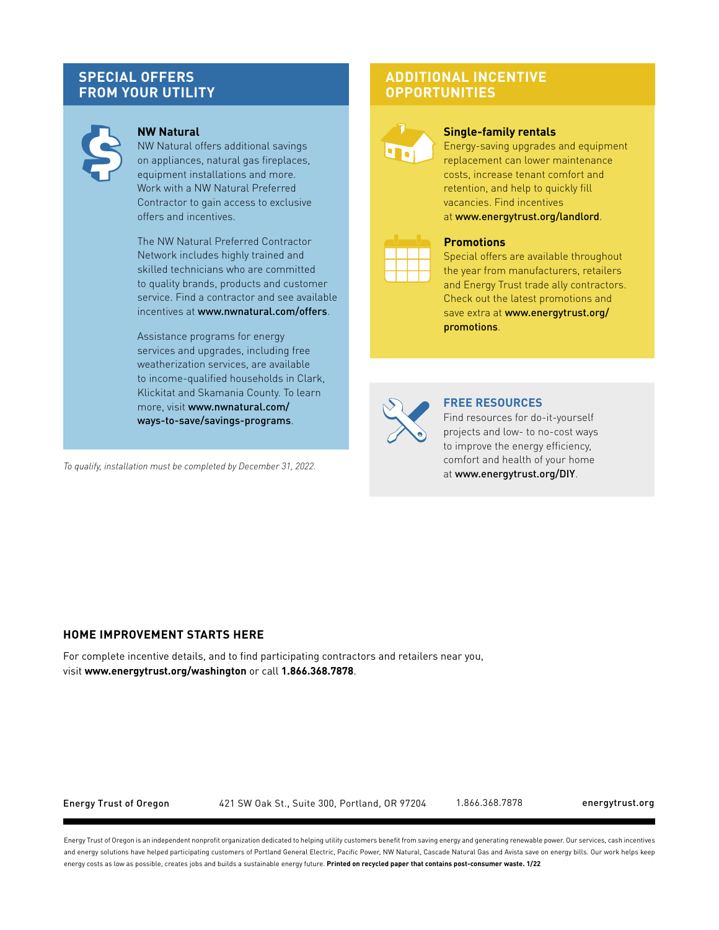## **SPECIAL OFFERS FROM YOUR UTILITY**



## **NW Natural**

NW Natural offers additional savings on appliances, natural gas fireplaces, equipment installations and more. Work with a NW Natural Preferred Contractor to gain access to exclusive offers and incentives.

The NW Natural Preferred Contractor Network includes highly trained and skilled technicians who are committed to quality brands, products and customer service. Find a contractor and see available incentives at www.nwnatural.com/offers.

Assistance programs for energy services and upgrades, including free weatherization services, are available to income-qualified households in Clark, Klickitat and Skamania County. To learn more, visit www.nwnatural.com/ ways-to-save/savings-programs.

*To qualify, installation must be completed by December 31, 2022.*

## **ADDITIONAL INCENTIVE OPPORTUNITIES**



#### **Single-family rentals**

Energy-saving upgrades and equipment replacement can lower maintenance costs, increase tenant comfort and retention, and help to quickly fill vacancies. Find incentives at www.energytrust.org/landlord.



#### **Promotions**

Special offers are available throughout the year from manufacturers, retailers and Energy Trust trade ally contractors. Check out the latest promotions and save extra at www.energytrust.org/ promotions.



#### **FREE RESOURCES**

Find resources for do-it-yourself projects and low- to no-cost ways to improve the energy efficiency, comfort and health of your home at www.energytrust.org/DIY.

#### **HOME IMPROVEMENT STARTS HERE**

For complete incentive details, and to find participating contractors and retailers near you, visit **www.energytrust.org/washington** or call **1.866.368.7878**.

Energy Trust of Oregon 421 SW Oak St., Suite 300, Portland, OR 97204 1.866.368.7878 energytrust.org

Energy Trust of Oregon is an independent nonprofit organization dedicated to helping utility customers benefit from saving energy and generating renewable power. Our services, cash incentives and energy solutions have helped participating customers of Portland General Electric, Pacific Power, NW Natural, Cascade Natural Gas and Avista save on energy bills. Our work helps keep energy costs as low as possible, creates jobs and builds a sustainable energy future. **Printed on recycled paper that contains post-consumer waste. 1/22**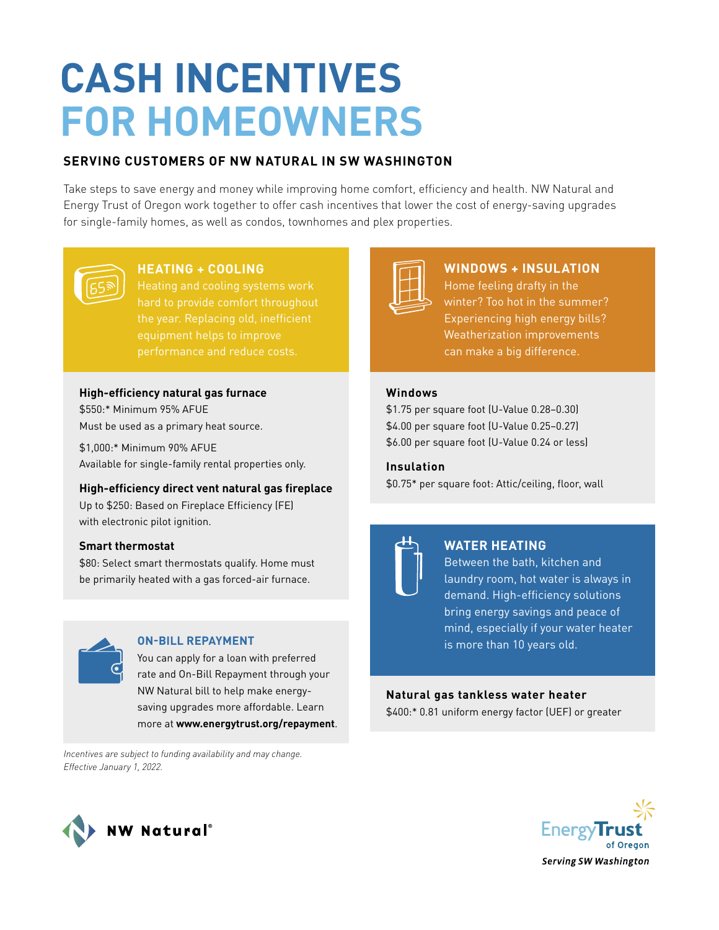# **CASH INCENTIVES FOR HOMEOWNERS**

# **SERVING CUSTOMERS OF NW NATURAL IN SW WASHINGTON**

Take steps to save energy and money while improving home comfort, efficiency and health. NW Natural and Energy Trust of Oregon work together to offer cash incentives that lower the cost of energy-saving upgrades for single-family homes, as well as condos, townhomes and plex properties.



# **HEATING + COOLING**

the year. Replacing old, inefficient performance and reduce costs.

## **High-efficiency natural gas furnace**

\$550:\* Minimum 95% AFUE Must be used as a primary heat source.

\$1,000:\* Minimum 90% AFUE Available for single-family rental properties only.

## **High-efficiency direct vent natural gas fireplace**

Up to \$250: Based on Fireplace Efficiency (FE) with electronic pilot ignition.

## **Smart thermostat**

\$80: Select smart thermostats qualify. Home must be primarily heated with a gas forced-air furnace.



## **ON-BILL REPAYMENT**

You can apply for a loan with preferred rate and On-Bill Repayment through your NW Natural bill to help make energysaving upgrades more affordable. Learn more at **www.energytrust.org/repayment**.

*Incentives are subject to funding availability and may change. Effective January 1, 2022.*



# **WINDOWS + INSULATION**

Home feeling drafty in the Experiencing high energy bills? Weatherization improvements can make a big difference.

## **Windows**

\$1.75 per square foot (U-Value 0.28–0.30) \$4.00 per square foot (U-Value 0.25–0.27) \$6.00 per square foot (U-Value 0.24 or less)

**Insulation** \$0.75\* per square foot: Attic/ceiling, floor, wall

# **WATER HEATING**

Between the bath, kitchen and laundry room, hot water is always in demand. High-efficiency solutions bring energy savings and peace of mind, especially if your water heater is more than 10 years old.

## **Natural gas tankless water heater**

\$400:\* 0.81 uniform energy factor (UEF) or greater